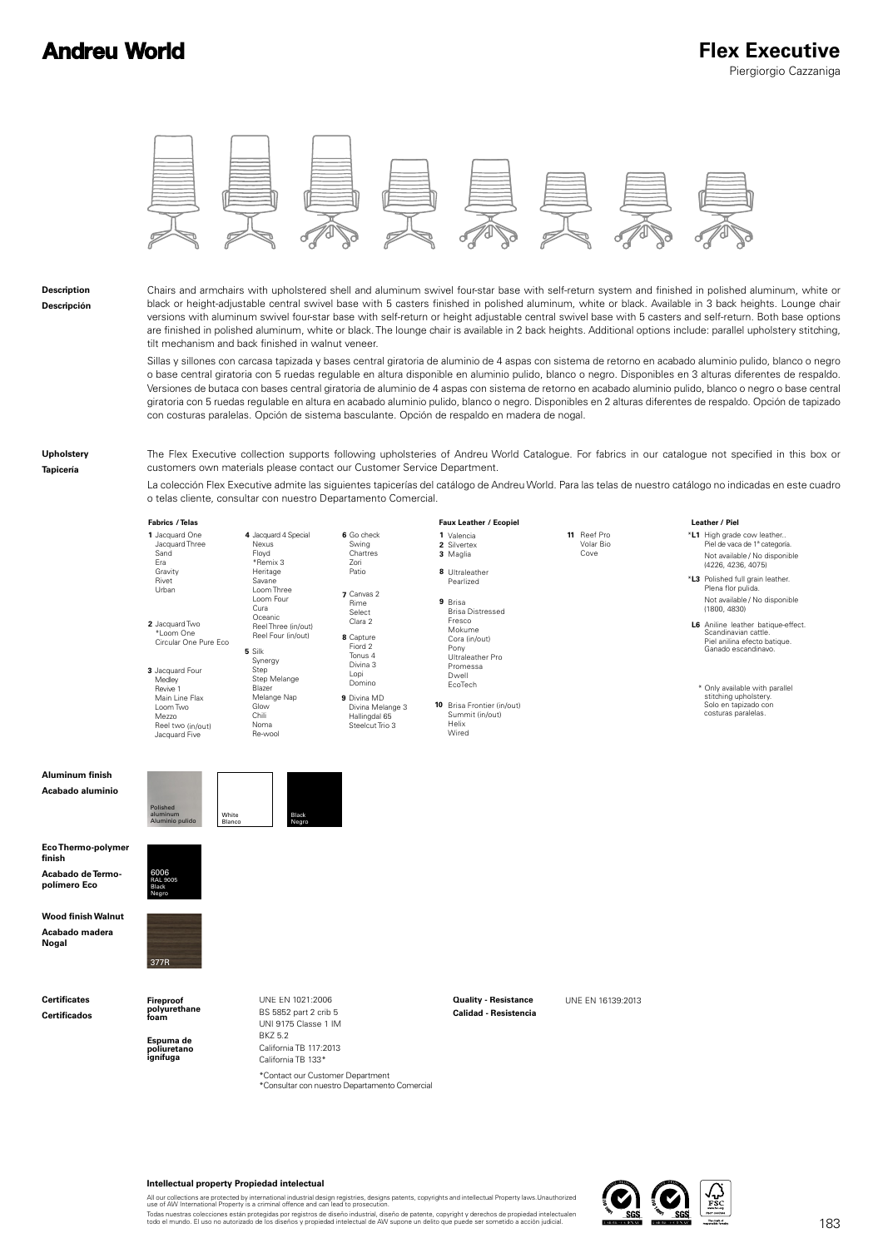## **Andreu World**



#### **Description Descripción**

Chairs and armchairs with upholstered shell and aluminum swivel four-star base with self-return system and finished in polished aluminum, white or black or height-adjustable central swivel base with 5 casters finished in polished aluminum, white or black. Available in 3 back heights. Lounge chair versions with aluminum swivel four-star base with self-return or height adjustable central swivel base with 5 casters and self-return. Both base options are finished in polished aluminum, white or black. The lounge chair is available in 2 back heights. Additional options include: parallel upholstery stitching, tilt mechanism and back finished in walnut veneer.

Sillas y sillones con carcasa tapizada y bases central giratoria de aluminio de 4 aspas con sistema de retorno en acabado aluminio pulido, blanco o negro o base central giratoria con 5 ruedas regulable en altura disponible en aluminio pulido, blanco o negro. Disponibles en 3 alturas diferentes de respaldo. Versiones de butaca con bases central giratoria de aluminio de 4 aspas con sistema de retorno en acabado aluminio pulido, blanco o negro o base central giratoria con 5 ruedas regulable en altura en acabado aluminio pulido, blanco o negro. Disponibles en 2 alturas diferentes de respaldo. Opción de tapizado con costuras paralelas. Opción de sistema basculante. Opción de respaldo en madera de nogal.

#### **Upholstery**

**Tapicería**

The Flex Executive collection supports following upholsteries of Andreu World Catalogue. For fabrics in our catalogue not specified in this box or customers own materials please contact our Customer Service Department.

La colección Flex Executive admite las siguientes tapicerías del catálogo de Andreu World. Para las telas de nuestro catálogo no indicadas en este cuadro o telas cliente, consultar con nuestro Departamento Comercial.

**11** Reef Pro

Volar Bio Cove

| raprics / leias       |        |
|-----------------------|--------|
| 1 Jacquard One        | 4 Jac  |
| Jacquard Three        | Ne:    |
| Sand                  | Flo    |
| Fra                   | *R     |
| Gravity               | Her    |
| Rivet                 | Sav    |
| Urban                 | Loc    |
|                       | Loc    |
|                       | Cur    |
|                       | Oci    |
| 2 Jacquard Two        | Ree    |
| *I oom One            | Re     |
| Circular One Pure Fco |        |
|                       | 5 Silk |
|                       | Syr    |
| 3 Jacquard Four       | Ste    |
| Modour                | Sta    |

Synergy Step Step Melange Blazer Melange Nap Glow Chili Noma Re-wool Medley Revive 1 Main Line Flax Loom Two Mezzo Reel two (in/out) Jacquard Five



## **1 2 3 / Telas / Ecopiel Fabrics Faux Leather**

Valencia Silvertex Maglia **8** Ultraleather **9** Brisa Brisa Distressed Pearlized Fresco Mokume Cora (in/out) Pony Ultraleather Pro Promessa Dwell EcoTech

**10** Brisa Frontier (in/out) Summit (in/out) Helix Wired

#### **/ Piel Leather**

\***L1** Piel de vaca de 1ª categoría. High grade cow leather.. (4226, 4236, 4075) Not available / No disponible

- \***L3** Polished full grain leather. (1800, 4830) Plena flor pulida. Not available / No disponible
- **L6** Aniline leather batique-effect. Piel anilina efecto batique. Ganado escandinavo. Scandinavian cattle.

 Solo en tapizado con costuras paralelas. \* Only available with parallel stitching upholstery.

### **Aluminum finish Acabado aluminio**



Floyd \*Remix 3 Heritage Savane Loom Three Loom Four Cura Oceanic

**Eco Thermo-polymer finish Acabado de Termopolímero Eco**



**Wood finish Walnut Acabado madera Nogal**

**Certificates Certificados**



**Fireproof polyurethane foam**

> **Espuma de poliuretano ignífuga**

UNE EN 1021:2006 UNE EN 16139:2013 **Quality - Resistance** BS 5852 part 2 crib 5 UNI 9175 Classe 1 IM BKZ 5.2 California TB 117:2013 California TB 133\* \*Contact our Customer Department<br>\*Consultar con nuestro Departamento Comercial

**Calidad - Resistencia**



#### **Intellectual property Propiedad intelectual**

All our collections are protected by international industrial design registries, designs patents, copyrights and intellectual Property laws.Unauthorized<br>use of AW International Property is a criminal offence and can lead t

Todas nuestras colecciones están protegidas por registros de diseño industrial, diseño de patente, copyright y derechos de propiedad intelectualen<br>todo el mundo. El uso no autorizado de los diseños y propiedad intelectual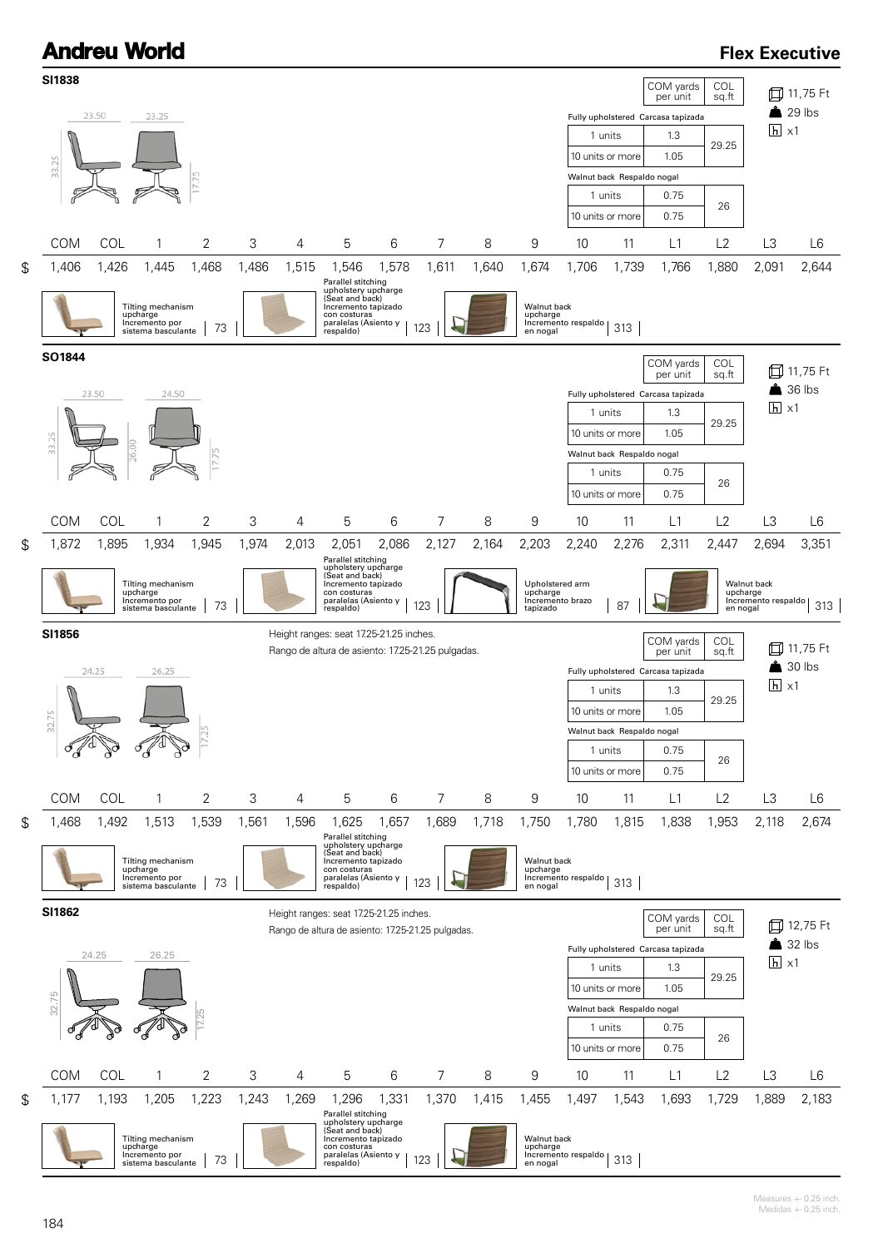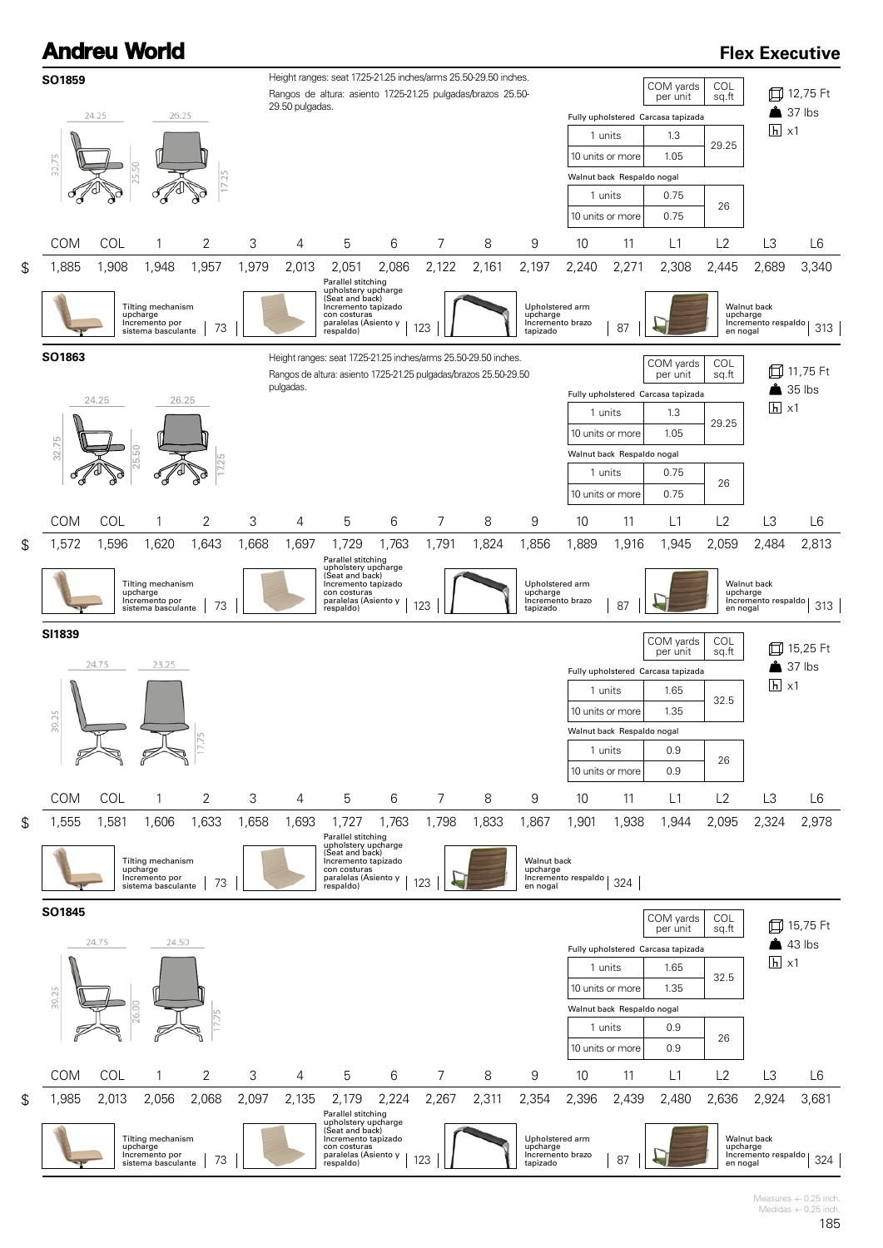

1,985 2,013 2,056 2,068 2,097 2,135 2,179 2,224 2,267 2,311 2,354 2,396 2,439 2,480 2,636 2,924 3,681

Parallel stitching<br>upholstery upcharge<br>(Seat and back)<br>Incremento tapizado<br>con costuras<br>paralelas (Asiento y | 123<br>respaldo)

Upholstered arm upcharge Incremento brazo Incremento brazo | 87 |

\$

œ

Tilting mechanism upcharge Incremento por sistema basculante 73

 $\overline{\phantom{a}}$ 

Measures +- 0.25 inch. Medidas  $+-0.25$  inch.

Walnut back<br>upcharge<br>Incremento respaldo | 324<br>en nogal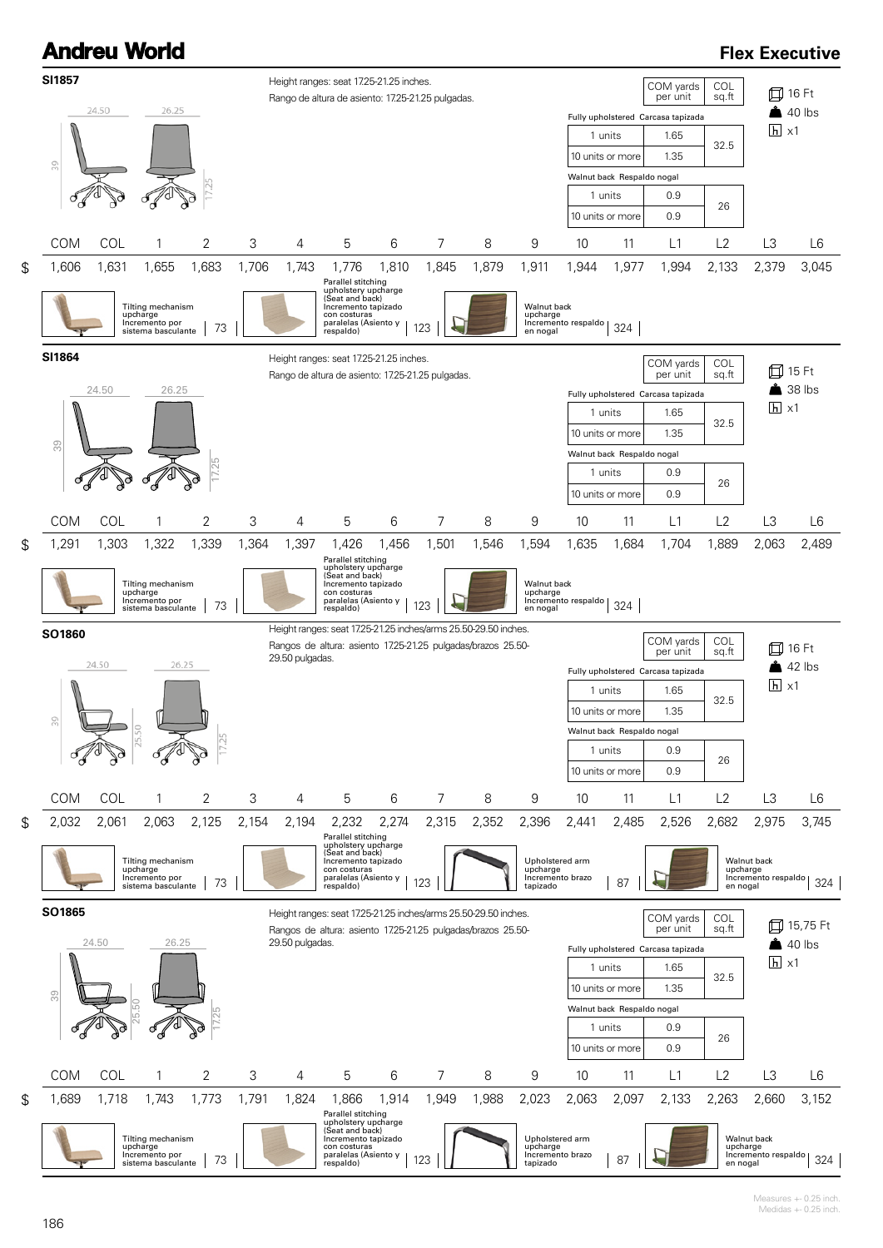## **Andreu World SI1857** Height ranges: seat 17.25-21.25 inches Rango de altura de asiento: 17.25-21.25 pulgadas. 24.50 26.25

## **Flex Executive**

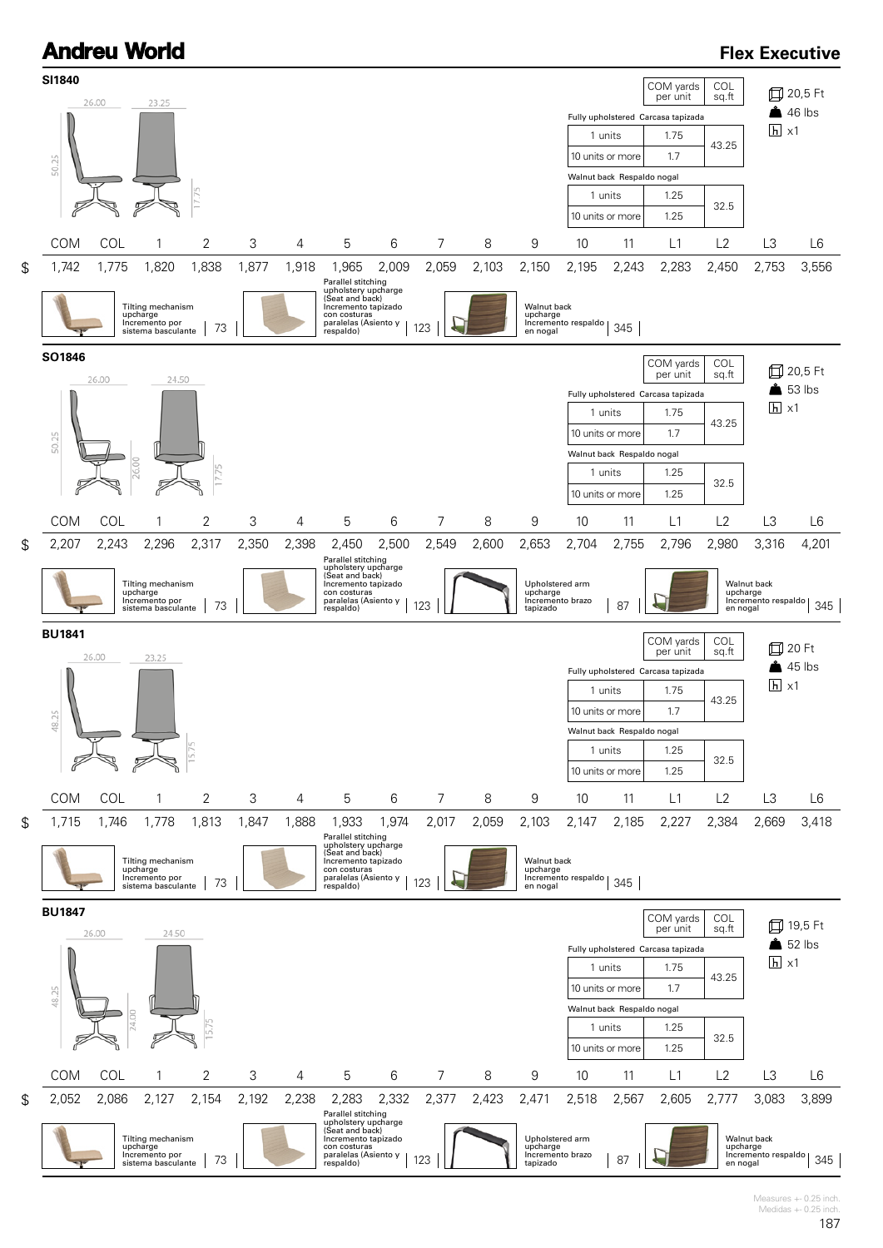

Measures +- 0.25 inch. Medidas  $+-0.25$  inch.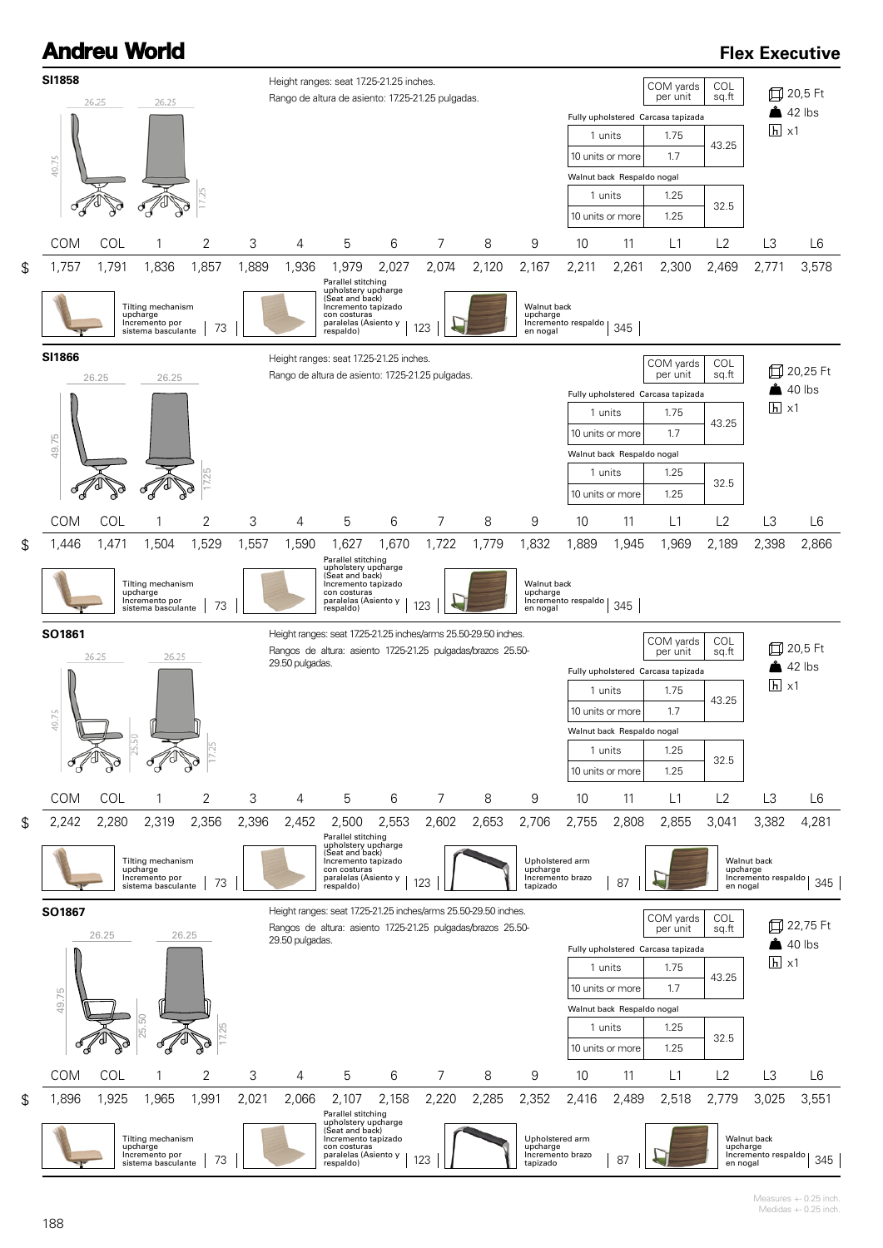## **Andreu World SI1858** Height ranges: seat 17.25-21.25 inches. Rango de altura de asiento: 17.25-21.25 pulgadas. 26.25 26.25 49.75

## **Flex Executive**

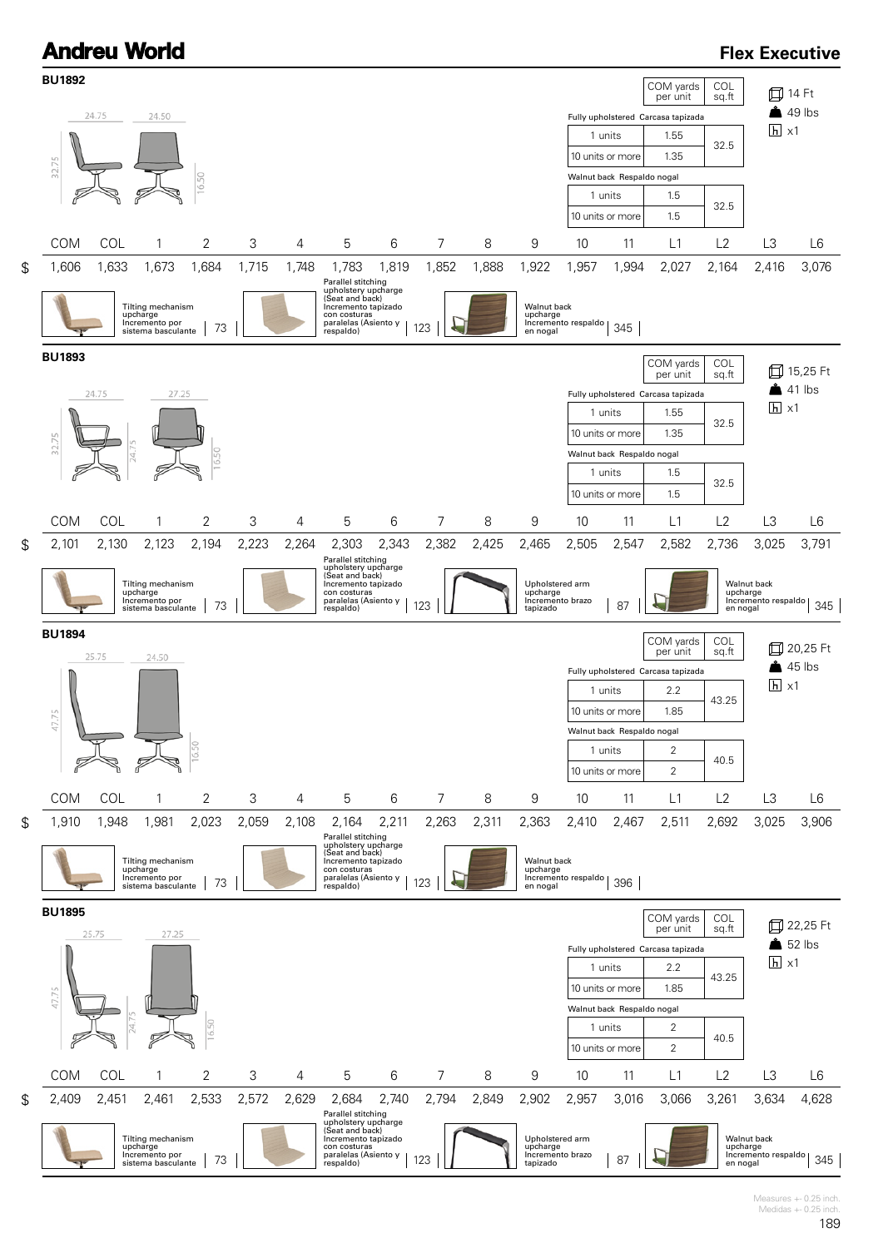

Measures +- 0.25 inch. Medidas  $+-0.25$  inch.